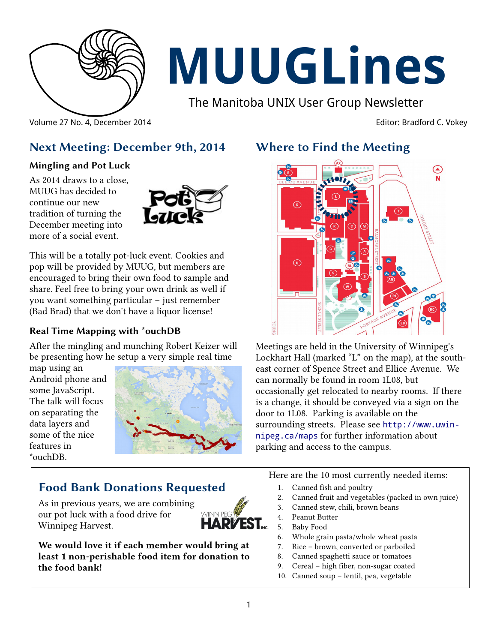

# **MUUGLines**

The Manitoba UNIX User Group Newsletter

Volume 27 No. 4, December 2014 **Editor: Bradford C. Vokey** Editor: Bradford C. Vokey

# **Next Meeting: December 9th, 2014**

#### **Mingling and Pot Luck**

As 2014 draws to a close, MUUG has decided to continue our new tradition of turning the December meeting into more of a social event.



This will be a totally pot-luck event. Cookies and pop will be provided by MUUG, but members are encouraged to bring their own food to sample and share. Feel free to bring your own drink as well if you want something particular – just remember (Bad Brad) that we don't have a liquor license!

#### **Real Time Mapping with \*ouchDB**

After the mingling and munching Robert Keizer will be presenting how he setup a very simple real time

map using an Android phone and some JavaScript. The talk will focus on separating the data layers and some of the nice features in \*ouchDB.



# **Food Bank Donations Requested**

As in previous years, we are combining our pot luck with a food drive for Winnipeg Harvest.



**We would love it if each member would bring at least 1 non-perishable food item for donation to the food bank!**

# **Where to Find the Meeting**



Meetings are held in the University of Winnipeg's Lockhart Hall (marked "L" on the map), at the southeast corner of Spence Street and Ellice Avenue. We can normally be found in room 1L08, but occasionally get relocated to nearby rooms. If there is a change, it should be conveyed via a sign on the door to 1L08. Parking is available on the surrounding streets. Please see [http://www.uwin](http://www.uwinnipeg.ca/maps)[nipeg.ca/maps](http://www.uwinnipeg.ca/maps) for further information about parking and access to the campus.

Here are the 10 most currently needed items:

- 1. Canned fish and poultry
- 2. Canned fruit and vegetables (packed in own juice)
- 3. Canned stew, chili, brown beans
- 4. Peanut Butter
- 5. Baby Food
- 6. Whole grain pasta/whole wheat pasta
- 7. Rice brown, converted or parboiled
- 8. Canned spaghetti sauce or tomatoes
- 9. Cereal high fiber, non-sugar coated
- 10. Canned soup lentil, pea, vegetable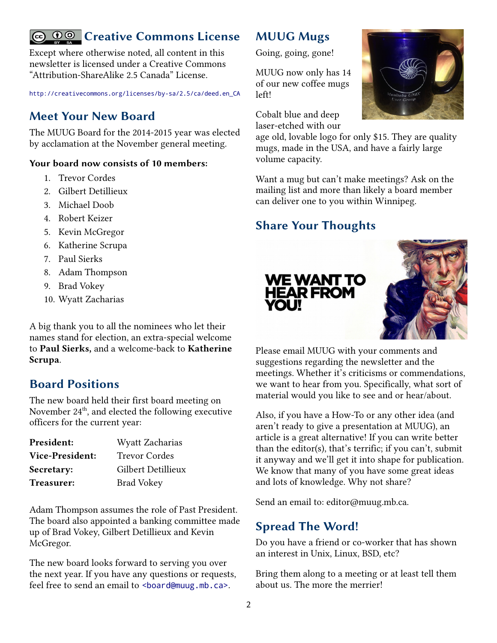# Creative Commons License

Except where otherwise noted, all content in this newsletter is licensed under a Creative Commons "Attribution-ShareAlike 2.5 Canada" License.

[http://creativecommons.org/licenses/by-sa/2.5/ca/deed.en\\_CA](http://creativecommons.org/licenses/by-sa/2.5/ca/deed.en_CA)

### **Meet Your New Board**

The MUUG Board for the 2014-2015 year was elected by acclamation at the November general meeting.

#### **Your board now consists of 10 members:**

- 1. Trevor Cordes
- 2. Gilbert Detillieux
- 3. Michael Doob
- 4. Robert Keizer
- 5. Kevin McGregor
- 6. Katherine Scrupa
- 7. Paul Sierks
- 8. Adam Thompson
- 9. Brad Vokey
- 10. Wyatt Zacharias

A big thank you to all the nominees who let their names stand for election, an extra-special welcome to **Paul Sierks,** and a welcome-back to **Katherine Scrupa**.

#### **Board Positions**

The new board held their first board meeting on November 24<sup>th</sup>, and elected the following executive officers for the current year:

| President:             | Wyatt Zacharias      |
|------------------------|----------------------|
| <b>Vice-President:</b> | <b>Trevor Cordes</b> |
| <b>Secretary:</b>      | Gilbert Detillieux   |
| <b>Treasurer:</b>      | <b>Brad Vokey</b>    |

Adam Thompson assumes the role of Past President. The board also appointed a banking committee made up of Brad Vokey, Gilbert Detillieux and Kevin McGregor.

The new board looks forward to serving you over the next year. If you have any questions or requests, feel free to send an email to <br/>board@muug.mb.ca>.

### **MUUG Mugs**

Going, going, gone!

MUUG now only has 14 of our new coffee mugs left!

Cobalt blue and deep laser-etched with our



age old, lovable logo for only \$15. They are quality mugs, made in the USA, and have a fairly large volume capacity.

Want a mug but can't make meetings? Ask on the mailing list and more than likely a board member can deliver one to you within Winnipeg.

## **Share Your Thoughts**

**YOU!** 



Please email MUUG with your comments and suggestions regarding the newsletter and the meetings. Whether it's criticisms or commendations, we want to hear from you. Specifically, what sort of material would you like to see and or hear/about.

Also, if you have a How-To or any other idea (and aren't ready to give a presentation at MUUG), an article is a great alternative! If you can write better than the editor(s), that's terrific; if you can't, submit it anyway and we'll get it into shape for publication. We know that many of you have some great ideas and lots of knowledge. Why not share?

Send an email to: editor@muug.mb.ca.

#### **Spread The Word!**

Do you have a friend or co-worker that has shown an interest in Unix, Linux, BSD, etc?

Bring them along to a meeting or at least tell them about us. The more the merrier!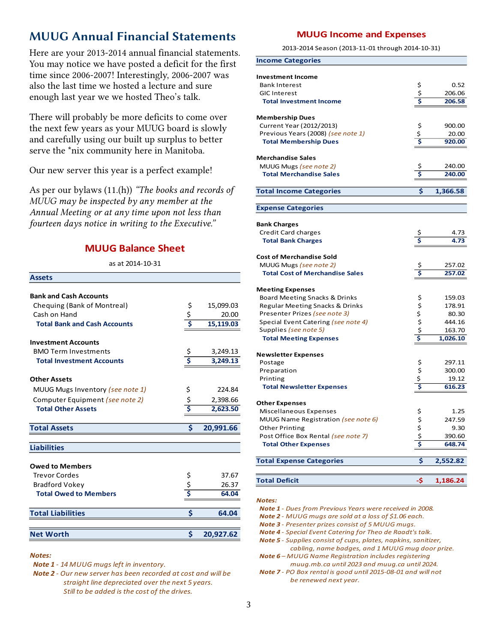# **MUUG Annual Financial Statements**

Here are your 2013-2014 annual financial statements. You may notice we have posted a deficit for the first time since 2006-2007! Interestingly, 2006-2007 was also the last time we hosted a lecture and sure enough last year we we hosted Theo's talk.

There will probably be more deficits to come over the next few years as your MUUG board is slowly and carefully using our built up surplus to better serve the \*nix community here in Manitoba.

Our new server this year is a perfect example!

As per our bylaws (11.(h)) *"The books and records of MUUG may be inspected by any member at the Annual Meeting or at any time upon not less than fourteen days notice in writing to the Executive."*

#### **MUUG Balance Sheet**

as at 2014-10-31

| <b>Assets</b>                       |                                     |           |
|-------------------------------------|-------------------------------------|-----------|
|                                     |                                     |           |
| <b>Bank and Cash Accounts</b>       |                                     |           |
| Chequing (Bank of Montreal)         | \$                                  | 15,099.03 |
| Cash on Hand                        | $rac{5}{5}$                         | 20.00     |
| <b>Total Bank and Cash Accounts</b> |                                     | 15,119.03 |
| <b>Investment Accounts</b>          |                                     |           |
| <b>BMO Term Investments</b>         | \$                                  | 3.249.13  |
| <b>Total Investment Accounts</b>    | $\overline{\boldsymbol{\varsigma}}$ | 3,249.13  |
| <b>Other Assets</b>                 |                                     |           |
| MUUG Mugs Inventory (see note 1)    | \$                                  | 224.84    |
| Computer Equipment (see note 2)     |                                     | 2,398.66  |
| <b>Total Other Assets</b>           | \$<br>\$                            | 2,623.50  |
| <b>Total Assets</b>                 | \$                                  | 20,991.66 |
|                                     |                                     |           |
| <b>Liabilities</b>                  |                                     |           |
| <b>Owed to Members</b>              |                                     |           |
| <b>Trevor Cordes</b>                |                                     | 37.67     |
| Bradford Vokey                      | \$<br>\$<br><b>S</b>                | 26.37     |
| <b>Total Owed to Members</b>        |                                     | 64.04     |
| <b>Total Liabilities</b>            | \$                                  | 64.04     |
|                                     |                                     |           |
| <b>Net Worth</b>                    | Ś                                   | 20,927.62 |

#### *Notes:*

 *Note 1 - 14 MUUG mugs left in inventory.*

 *Note 2 - Our new server has been recorded at cost and will be straight line depreciated over the next 5 years. Still to be added is the cost of the drives.*

#### **MUUG Income and Expenses**

2013-2014 Season (2013-11-01 through 2014-10-31)

| <b>Income Categories</b>                        |                               |                  |
|-------------------------------------------------|-------------------------------|------------------|
|                                                 |                               |                  |
| <b>Investment Income</b>                        |                               | 0.52             |
| <b>Bank Interest</b><br><b>GIC Interest</b>     | \$<br>$\frac{1}{2}$           | 206.06           |
| <b>Total Investment Income</b>                  | \$                            | 206.58           |
|                                                 |                               |                  |
| <b>Membership Dues</b>                          |                               |                  |
| Current Year (2012/2013)                        |                               | 900.00           |
| Previous Years (2008) (see note 1)              | \$<br>\$<br><b>\$</b>         | 20.00            |
| <b>Total Membership Dues</b>                    |                               | 920.00           |
| <b>Merchandise Sales</b>                        |                               |                  |
| MUUG Mugs (see note 2)                          | \$                            | 240.00           |
| <b>Total Merchandise Sales</b>                  | \$                            | 240.00           |
|                                                 |                               |                  |
| <b>Total Income Categories</b>                  | \$                            | 1,366.58         |
|                                                 |                               |                  |
| <b>Expense Categories</b>                       |                               |                  |
| <b>Bank Charges</b>                             |                               |                  |
| Credit Card charges                             | \$<br>\$                      | 4.73             |
| <b>Total Bank Charges</b>                       |                               | 4.73             |
| <b>Cost of Merchandise Sold</b>                 |                               |                  |
| MUUG Mugs (see note 2)                          |                               |                  |
| <b>Total Cost of Merchandise Sales</b>          | \$<br>$\overline{\mathsf{s}}$ | 257.02<br>257.02 |
|                                                 |                               |                  |
| <b>Meeting Expenses</b>                         |                               |                  |
| Board Meeting Snacks & Drinks                   |                               | 159.03           |
| Regular Meeting Snacks & Drinks                 |                               | 178.91           |
| Presenter Prizes (see note 3)                   |                               | 80.30            |
| Special Event Catering (see note 4)             | ちゅうさ                          | 444.16           |
| Supplies (see note 5)                           |                               | 163.70           |
| <b>Total Meeting Expenses</b>                   |                               | 1,026.10         |
| <b>Newsletter Expenses</b>                      |                               |                  |
| Postage                                         |                               | 297.11           |
| Preparation                                     |                               | 300.00           |
| Printing                                        | $55$<br>$5\frac{1}{5}$        | 19.12            |
| <b>Total Newsletter Expenses</b>                |                               | 616.23           |
|                                                 |                               |                  |
| <b>Other Expenses</b><br>Miscellaneous Expenses | \$                            | 1.25             |
| MUUG Name Registration (see note 6)             | \$                            | 247.59           |
| <b>Other Printing</b>                           |                               | 9.30             |
| Post Office Box Rental (see note 7)             |                               | 390.60           |
| <b>Total Other Expenses</b>                     | $\frac{5}{5}$                 | 648.74           |
|                                                 |                               |                  |
| <b>Total Expense Categories</b>                 | \$                            | 2,552.82         |
|                                                 |                               |                  |
| <b>Total Deficit</b>                            | -\$                           | 1,186.24         |

*Notes:*

 *Note 1 - Dues from Previous Years were received in 2008.*

 *Note 2 - MUUG mugs are sold at a loss of \$1.06 each.*

 *Note 3 - Presenter prizes consist of 5 MUUG mugs.*

 *Note 4 - Special Event Catering for Theo de Raadt's talk.*

 *Note 5 - Supplies consist of cups, plates, napkins, sanitizer, cabling, name badges, and 1 MUUG mug door prize. Note 6 – MUUG Name Registration includes registering* 

 *muug.mb.ca until 2023 and muug.ca until 2024.*

 *Note 7 - PO Box rental is good until 2015-08-01 and will not be renewed next year.*